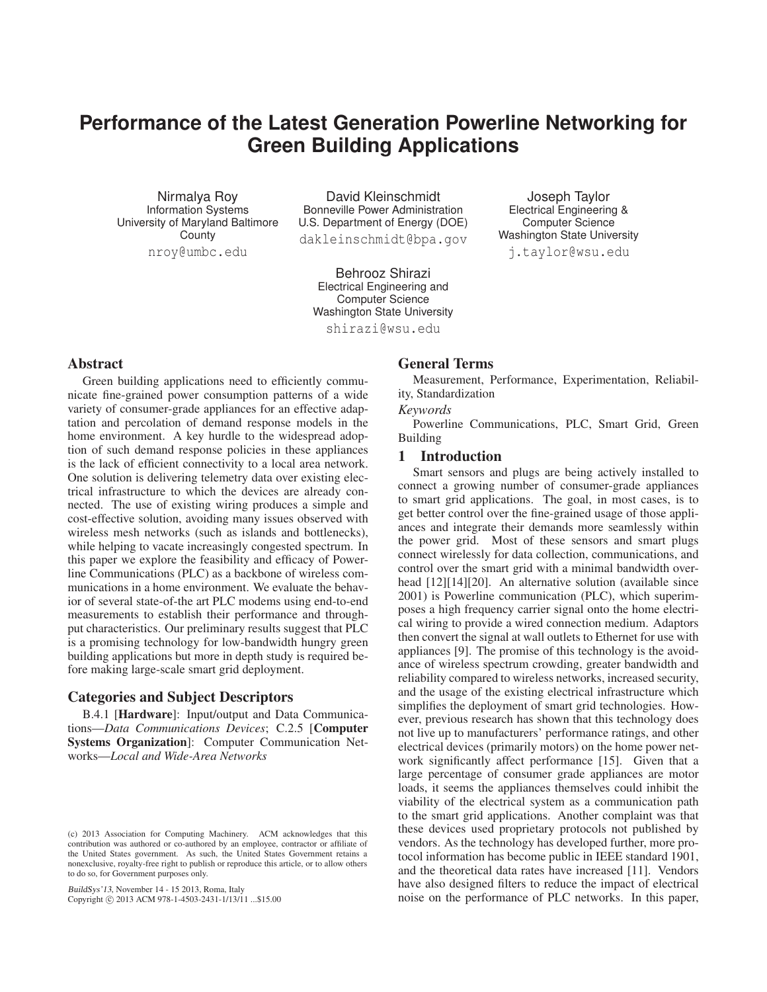# **Performance of the Latest Generation Powerline Networking for Green Building Applications**

Nirmalya Roy Information Systems University of Maryland Baltimore **County** nroy@umbc.edu

David Kleinschmidt Bonneville Power Administration U.S. Department of Energy (DOE)

dakleinschmidt@bpa.gov

Behrooz Shirazi Electrical Engineering and Computer Science Washington State University

shirazi@wsu.edu

#### Abstract

Green building applications need to efficiently communicate fine-grained power consumption patterns of a wide variety of consumer-grade appliances for an effective adaptation and percolation of demand response models in the home environment. A key hurdle to the widespread adoption of such demand response policies in these appliances is the lack of efficient connectivity to a local area network. One solution is delivering telemetry data over existing electrical infrastructure to which the devices are already connected. The use of existing wiring produces a simple and cost-effective solution, avoiding many issues observed with wireless mesh networks (such as islands and bottlenecks), while helping to vacate increasingly congested spectrum. In this paper we explore the feasibility and efficacy of Powerline Communications (PLC) as a backbone of wireless communications in a home environment. We evaluate the behavior of several state-of-the art PLC modems using end-to-end measurements to establish their performance and throughput characteristics. Our preliminary results suggest that PLC is a promising technology for low-bandwidth hungry green building applications but more in depth study is required before making large-scale smart grid deployment.

## Categories and Subject Descriptors

B.4.1 [Hardware]: Input/output and Data Communications—*Data Communications Devices*; C.2.5 [Computer Systems Organization]: Computer Communication Networks—*Local and Wide-Area Networks*

BuildSys'13, November 14 - 15 2013, Roma, Italy Copyright C 2013 ACM 978-1-4503-2431-1/13/11 ... \$15.00

## General Terms

Measurement, Performance, Experimentation, Reliability, Standardization

#### *Keywords*

Powerline Communications, PLC, Smart Grid, Green Building

## 1 Introduction

Smart sensors and plugs are being actively installed to connect a growing number of consumer-grade appliances to smart grid applications. The goal, in most cases, is to get better control over the fine-grained usage of those appliances and integrate their demands more seamlessly within the power grid. Most of these sensors and smart plugs connect wirelessly for data collection, communications, and control over the smart grid with a minimal bandwidth overhead [12][14][20]. An alternative solution (available since 2001) is Powerline communication (PLC), which superimposes a high frequency carrier signal onto the home electrical wiring to provide a wired connection medium. Adaptors then convert the signal at wall outlets to Ethernet for use with appliances [9]. The promise of this technology is the avoidance of wireless spectrum crowding, greater bandwidth and reliability compared to wireless networks, increased security, and the usage of the existing electrical infrastructure which simplifies the deployment of smart grid technologies. However, previous research has shown that this technology does not live up to manufacturers' performance ratings, and other electrical devices (primarily motors) on the home power network significantly affect performance [15]. Given that a large percentage of consumer grade appliances are motor loads, it seems the appliances themselves could inhibit the viability of the electrical system as a communication path to the smart grid applications. Another complaint was that these devices used proprietary protocols not published by vendors. As the technology has developed further, more protocol information has become public in IEEE standard 1901, and the theoretical data rates have increased [11]. Vendors have also designed filters to reduce the impact of electrical noise on the performance of PLC networks. In this paper,

Joseph Taylor Electrical Engineering & Computer Science Washington State University j.taylor@wsu.edu

<sup>(</sup>c) 2013 Association for Computing Machinery. ACM acknowledges that this contribution was authored or co-authored by an employee, contractor or affiliate of the United States government. As such, the United States Government retains a nonexclusive, royalty-free right to publish or reproduce this article, or to allow others to do so, for Government purposes only.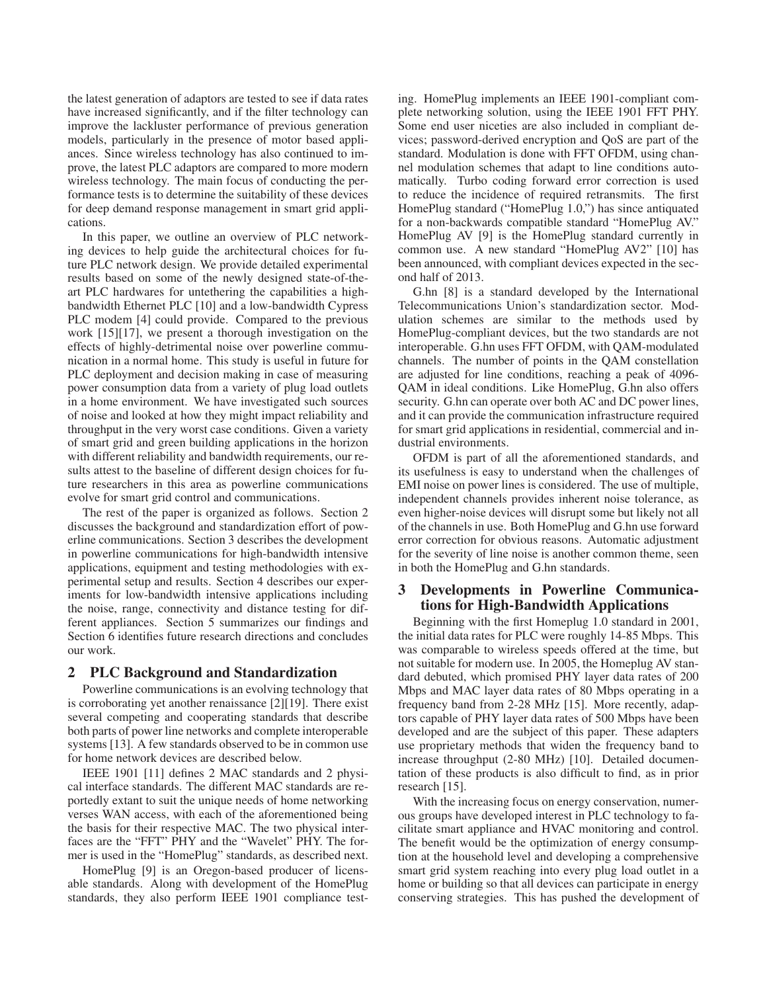the latest generation of adaptors are tested to see if data rates have increased significantly, and if the filter technology can improve the lackluster performance of previous generation models, particularly in the presence of motor based appliances. Since wireless technology has also continued to improve, the latest PLC adaptors are compared to more modern wireless technology. The main focus of conducting the performance tests is to determine the suitability of these devices for deep demand response management in smart grid applications.

In this paper, we outline an overview of PLC networking devices to help guide the architectural choices for future PLC network design. We provide detailed experimental results based on some of the newly designed state-of-theart PLC hardwares for untethering the capabilities a highbandwidth Ethernet PLC [10] and a low-bandwidth Cypress PLC modem [4] could provide. Compared to the previous work [15][17], we present a thorough investigation on the effects of highly-detrimental noise over powerline communication in a normal home. This study is useful in future for PLC deployment and decision making in case of measuring power consumption data from a variety of plug load outlets in a home environment. We have investigated such sources of noise and looked at how they might impact reliability and throughput in the very worst case conditions. Given a variety of smart grid and green building applications in the horizon with different reliability and bandwidth requirements, our results attest to the baseline of different design choices for future researchers in this area as powerline communications evolve for smart grid control and communications.

The rest of the paper is organized as follows. Section 2 discusses the background and standardization effort of powerline communications. Section 3 describes the development in powerline communications for high-bandwidth intensive applications, equipment and testing methodologies with experimental setup and results. Section 4 describes our experiments for low-bandwidth intensive applications including the noise, range, connectivity and distance testing for different appliances. Section 5 summarizes our findings and Section 6 identifies future research directions and concludes our work.

## 2 PLC Background and Standardization

Powerline communications is an evolving technology that is corroborating yet another renaissance [2][19]. There exist several competing and cooperating standards that describe both parts of power line networks and complete interoperable systems [13]. A few standards observed to be in common use for home network devices are described below.

IEEE 1901 [11] defines 2 MAC standards and 2 physical interface standards. The different MAC standards are reportedly extant to suit the unique needs of home networking verses WAN access, with each of the aforementioned being the basis for their respective MAC. The two physical interfaces are the "FFT" PHY and the "Wavelet" PHY. The former is used in the "HomePlug" standards, as described next.

HomePlug [9] is an Oregon-based producer of licensable standards. Along with development of the HomePlug standards, they also perform IEEE 1901 compliance testing. HomePlug implements an IEEE 1901-compliant complete networking solution, using the IEEE 1901 FFT PHY. Some end user niceties are also included in compliant devices; password-derived encryption and QoS are part of the standard. Modulation is done with FFT OFDM, using channel modulation schemes that adapt to line conditions automatically. Turbo coding forward error correction is used to reduce the incidence of required retransmits. The first HomePlug standard ("HomePlug 1.0,") has since antiquated for a non-backwards compatible standard "HomePlug AV." HomePlug AV [9] is the HomePlug standard currently in common use. A new standard "HomePlug AV2" [10] has been announced, with compliant devices expected in the second half of 2013.

G.hn [8] is a standard developed by the International Telecommunications Union's standardization sector. Modulation schemes are similar to the methods used by HomePlug-compliant devices, but the two standards are not interoperable. G.hn uses FFT OFDM, with QAM-modulated channels. The number of points in the QAM constellation are adjusted for line conditions, reaching a peak of 4096- QAM in ideal conditions. Like HomePlug, G.hn also offers security. G.hn can operate over both AC and DC power lines, and it can provide the communication infrastructure required for smart grid applications in residential, commercial and industrial environments.

OFDM is part of all the aforementioned standards, and its usefulness is easy to understand when the challenges of EMI noise on power lines is considered. The use of multiple, independent channels provides inherent noise tolerance, as even higher-noise devices will disrupt some but likely not all of the channels in use. Both HomePlug and G.hn use forward error correction for obvious reasons. Automatic adjustment for the severity of line noise is another common theme, seen in both the HomePlug and G.hn standards.

# 3 Developments in Powerline Communications for High-Bandwidth Applications

Beginning with the first Homeplug 1.0 standard in 2001, the initial data rates for PLC were roughly 14-85 Mbps. This was comparable to wireless speeds offered at the time, but not suitable for modern use. In 2005, the Homeplug AV standard debuted, which promised PHY layer data rates of 200 Mbps and MAC layer data rates of 80 Mbps operating in a frequency band from 2-28 MHz [15]. More recently, adaptors capable of PHY layer data rates of 500 Mbps have been developed and are the subject of this paper. These adapters use proprietary methods that widen the frequency band to increase throughput (2-80 MHz) [10]. Detailed documentation of these products is also difficult to find, as in prior research [15].

With the increasing focus on energy conservation, numerous groups have developed interest in PLC technology to facilitate smart appliance and HVAC monitoring and control. The benefit would be the optimization of energy consumption at the household level and developing a comprehensive smart grid system reaching into every plug load outlet in a home or building so that all devices can participate in energy conserving strategies. This has pushed the development of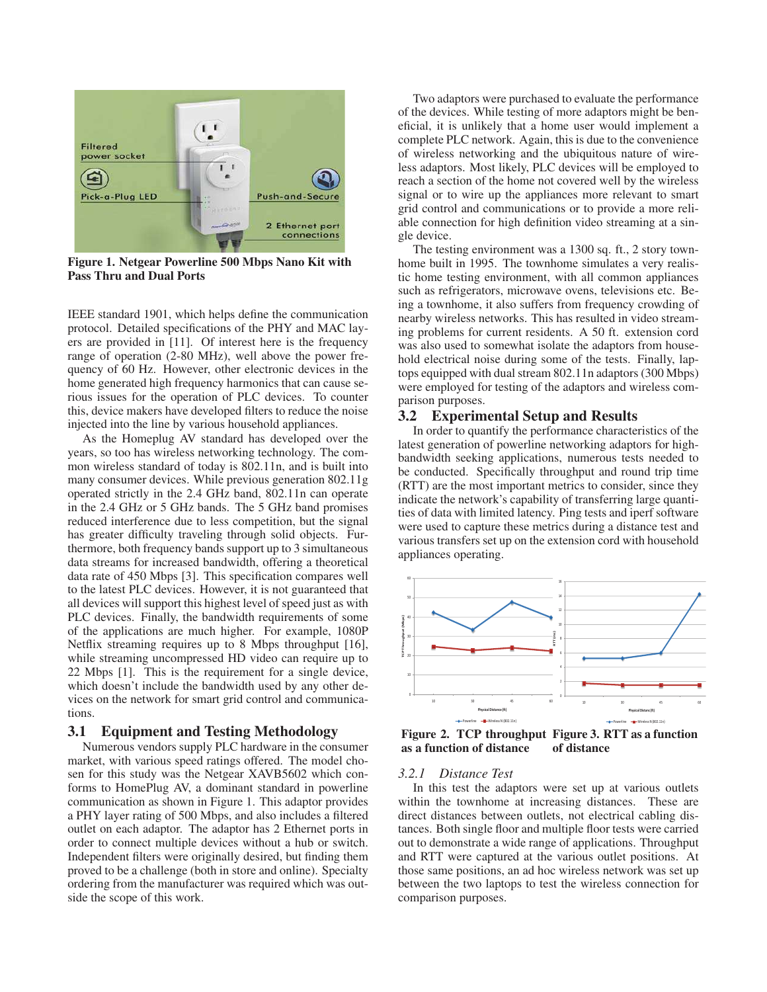

Figure 1. Netgear Powerline 500 Mbps Nano Kit with Pass Thru and Dual Ports

IEEE standard 1901, which helps define the communication protocol. Detailed specifications of the PHY and MAC layers are provided in [11]. Of interest here is the frequency range of operation (2-80 MHz), well above the power frequency of 60 Hz. However, other electronic devices in the home generated high frequency harmonics that can cause serious issues for the operation of PLC devices. To counter this, device makers have developed filters to reduce the noise injected into the line by various household appliances.

As the Homeplug AV standard has developed over the years, so too has wireless networking technology. The common wireless standard of today is 802.11n, and is built into many consumer devices. While previous generation 802.11g operated strictly in the 2.4 GHz band, 802.11n can operate in the 2.4 GHz or 5 GHz bands. The 5 GHz band promises reduced interference due to less competition, but the signal has greater difficulty traveling through solid objects. Furthermore, both frequency bands support up to 3 simultaneous data streams for increased bandwidth, offering a theoretical data rate of 450 Mbps [3]. This specification compares well to the latest PLC devices. However, it is not guaranteed that all devices will support this highest level of speed just as with PLC devices. Finally, the bandwidth requirements of some of the applications are much higher. For example, 1080P Netflix streaming requires up to 8 Mbps throughput [16], while streaming uncompressed HD video can require up to 22 Mbps [1]. This is the requirement for a single device, which doesn't include the bandwidth used by any other devices on the network for smart grid control and communications.

# 3.1 Equipment and Testing Methodology

Numerous vendors supply PLC hardware in the consumer market, with various speed ratings offered. The model chosen for this study was the Netgear XAVB5602 which conforms to HomePlug AV, a dominant standard in powerline communication as shown in Figure 1. This adaptor provides a PHY layer rating of 500 Mbps, and also includes a filtered outlet on each adaptor. The adaptor has 2 Ethernet ports in order to connect multiple devices without a hub or switch. Independent filters were originally desired, but finding them proved to be a challenge (both in store and online). Specialty ordering from the manufacturer was required which was outside the scope of this work.

Two adaptors were purchased to evaluate the performance of the devices. While testing of more adaptors might be beneficial, it is unlikely that a home user would implement a complete PLC network. Again, this is due to the convenience of wireless networking and the ubiquitous nature of wireless adaptors. Most likely, PLC devices will be employed to reach a section of the home not covered well by the wireless signal or to wire up the appliances more relevant to smart grid control and communications or to provide a more reliable connection for high definition video streaming at a single device.

The testing environment was a 1300 sq. ft., 2 story townhome built in 1995. The townhome simulates a very realistic home testing environment, with all common appliances such as refrigerators, microwave ovens, televisions etc. Being a townhome, it also suffers from frequency crowding of nearby wireless networks. This has resulted in video streaming problems for current residents. A 50 ft. extension cord was also used to somewhat isolate the adaptors from household electrical noise during some of the tests. Finally, laptops equipped with dual stream 802.11n adaptors (300 Mbps) were employed for testing of the adaptors and wireless comparison purposes.

## 3.2 Experimental Setup and Results

In order to quantify the performance characteristics of the latest generation of powerline networking adaptors for highbandwidth seeking applications, numerous tests needed to be conducted. Specifically throughput and round trip time (RTT) are the most important metrics to consider, since they indicate the network's capability of transferring large quantities of data with limited latency. Ping tests and iperf software were used to capture these metrics during a distance test and various transfers set up on the extension cord with household appliances operating.



Figure 2. TCP throughput Figure 3. RTT as a function as a function of distance of distance

#### *3.2.1 Distance Test*

In this test the adaptors were set up at various outlets within the townhome at increasing distances. These are direct distances between outlets, not electrical cabling distances. Both single floor and multiple floor tests were carried out to demonstrate a wide range of applications. Throughput and RTT were captured at the various outlet positions. At those same positions, an ad hoc wireless network was set up between the two laptops to test the wireless connection for comparison purposes.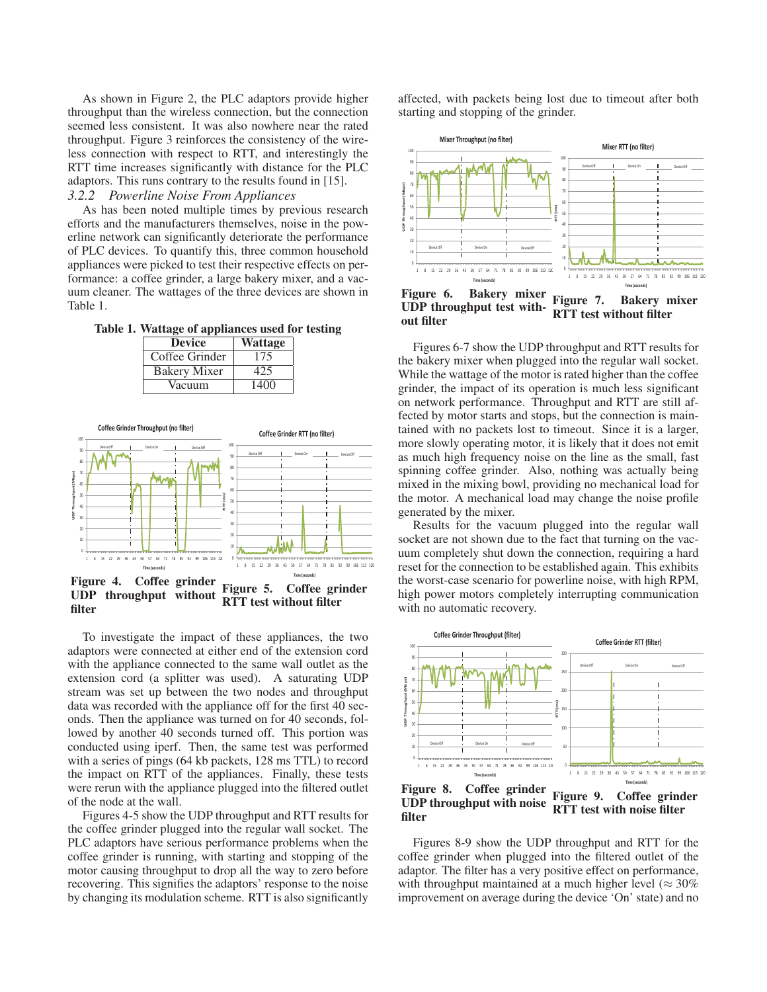As shown in Figure 2, the PLC adaptors provide higher throughput than the wireless connection, but the connection seemed less consistent. It was also nowhere near the rated throughput. Figure 3 reinforces the consistency of the wireless connection with respect to RTT, and interestingly the RTT time increases significantly with distance for the PLC adaptors. This runs contrary to the results found in [15]. *3.2.2 Powerline Noise From Appliances*

As has been noted multiple times by previous research efforts and the manufacturers themselves, noise in the powerline network can significantly deteriorate the performance of PLC devices. To quantify this, three common household appliances were picked to test their respective effects on performance: a coffee grinder, a large bakery mixer, and a vacuum cleaner. The wattages of the three devices are shown in Table 1.

Table 1. Wattage of appliances used for testing

| <b>Device</b>       | <b>Wattage</b> |  |  |
|---------------------|----------------|--|--|
| Coffee Grinder      | 175            |  |  |
| <b>Bakery Mixer</b> | 425            |  |  |
| Vacuum              | 1400           |  |  |



UDP throughput without filter RTT test without filter

To investigate the impact of these appliances, the two adaptors were connected at either end of the extension cord with the appliance connected to the same wall outlet as the extension cord (a splitter was used). A saturating UDP stream was set up between the two nodes and throughput data was recorded with the appliance off for the first 40 seconds. Then the appliance was turned on for 40 seconds, followed by another 40 seconds turned off. This portion was conducted using iperf. Then, the same test was performed with a series of pings (64 kb packets, 128 ms TTL) to record the impact on RTT of the appliances. Finally, these tests were rerun with the appliance plugged into the filtered outlet of the node at the wall.

Figures 4-5 show the UDP throughput and RTT results for the coffee grinder plugged into the regular wall socket. The PLC adaptors have serious performance problems when the coffee grinder is running, with starting and stopping of the motor causing throughput to drop all the way to zero before recovering. This signifies the adaptors' response to the noise by changing its modulation scheme. RTT is also significantly

affected, with packets being lost due to timeout after both starting and stopping of the grinder.



Figure 6. Bakery mixer UDP throughput test without filter Figure 7. Bakery mixer RTT test without filter

Figures 6-7 show the UDP throughput and RTT results for the bakery mixer when plugged into the regular wall socket. While the wattage of the motor is rated higher than the coffee grinder, the impact of its operation is much less significant on network performance. Throughput and RTT are still affected by motor starts and stops, but the connection is maintained with no packets lost to timeout. Since it is a larger, more slowly operating motor, it is likely that it does not emit as much high frequency noise on the line as the small, fast spinning coffee grinder. Also, nothing was actually being mixed in the mixing bowl, providing no mechanical load for the motor. A mechanical load may change the noise profile generated by the mixer.

Results for the vacuum plugged into the regular wall socket are not shown due to the fact that turning on the vacuum completely shut down the connection, requiring a hard reset for the connection to be established again. This exhibits the worst-case scenario for powerline noise, with high RPM, high power motors completely interrupting communication with no automatic recovery.



Figure 8. Coffee grinder UDP throughput with noise filter Figure 9. Coffee grinder RTT test with noise filter

Figures 8-9 show the UDP throughput and RTT for the coffee grinder when plugged into the filtered outlet of the adaptor. The filter has a very positive effect on performance, with throughput maintained at a much higher level ( $\approx 30\%$ ) improvement on average during the device 'On' state) and no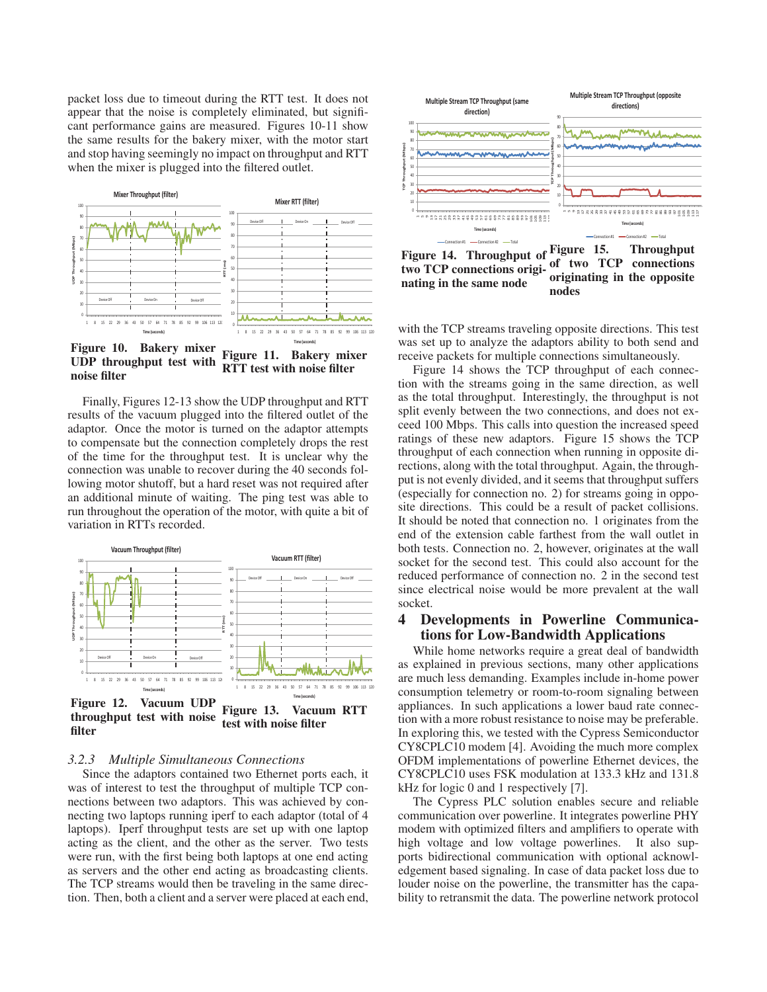packet loss due to timeout during the RTT test. It does not appear that the noise is completely eliminated, but significant performance gains are measured. Figures 10-11 show the same results for the bakery mixer, with the motor start and stop having seemingly no impact on throughput and RTT when the mixer is plugged into the filtered outlet.



Figure 10. Bakery mixer UDP throughput test with noise filter Figure 11. Bakery mixer RTT test with noise filter

Finally, Figures 12-13 show the UDP throughput and RTT results of the vacuum plugged into the filtered outlet of the adaptor. Once the motor is turned on the adaptor attempts to compensate but the connection completely drops the rest of the time for the throughput test. It is unclear why the connection was unable to recover during the 40 seconds following motor shutoff, but a hard reset was not required after an additional minute of waiting. The ping test was able to run throughout the operation of the motor, with quite a bit of variation in RTTs recorded.



throughput test with noise filter Figure 13. Vacuum RTT test with noise filter

#### *3.2.3 Multiple Simultaneous Connections*

Since the adaptors contained two Ethernet ports each, it was of interest to test the throughput of multiple TCP connections between two adaptors. This was achieved by connecting two laptops running iperf to each adaptor (total of 4 laptops). Iperf throughput tests are set up with one laptop acting as the client, and the other as the server. Two tests were run, with the first being both laptops at one end acting as servers and the other end acting as broadcasting clients. The TCP streams would then be traveling in the same direction. Then, both a client and a server were placed at each end,



Figure 14. Throughput of two TCP connections originating in the same node Figure 15. Throughput of two TCP connections originating in the opposite nodes

with the TCP streams traveling opposite directions. This test was set up to analyze the adaptors ability to both send and receive packets for multiple connections simultaneously.

Figure 14 shows the TCP throughput of each connection with the streams going in the same direction, as well as the total throughput. Interestingly, the throughput is not split evenly between the two connections, and does not exceed 100 Mbps. This calls into question the increased speed ratings of these new adaptors. Figure 15 shows the TCP throughput of each connection when running in opposite directions, along with the total throughput. Again, the throughput is not evenly divided, and it seems that throughput suffers (especially for connection no. 2) for streams going in opposite directions. This could be a result of packet collisions. It should be noted that connection no. 1 originates from the end of the extension cable farthest from the wall outlet in both tests. Connection no. 2, however, originates at the wall socket for the second test. This could also account for the reduced performance of connection no. 2 in the second test since electrical noise would be more prevalent at the wall socket.

## 4 Developments in Powerline Communications for Low-Bandwidth Applications

While home networks require a great deal of bandwidth as explained in previous sections, many other applications are much less demanding. Examples include in-home power consumption telemetry or room-to-room signaling between appliances. In such applications a lower baud rate connection with a more robust resistance to noise may be preferable. In exploring this, we tested with the Cypress Semiconductor CY8CPLC10 modem [4]. Avoiding the much more complex OFDM implementations of powerline Ethernet devices, the CY8CPLC10 uses FSK modulation at 133.3 kHz and 131.8 kHz for logic 0 and 1 respectively [7].

The Cypress PLC solution enables secure and reliable communication over powerline. It integrates powerline PHY modem with optimized filters and amplifiers to operate with high voltage and low voltage powerlines. It also supports bidirectional communication with optional acknowledgement based signaling. In case of data packet loss due to louder noise on the powerline, the transmitter has the capability to retransmit the data. The powerline network protocol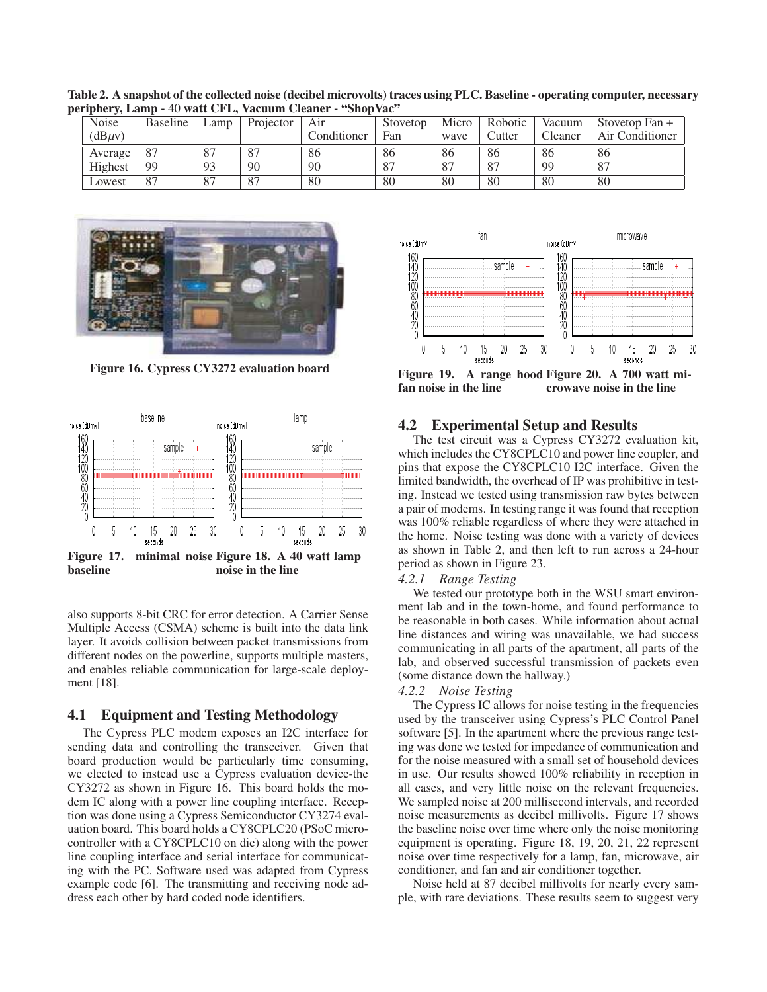| <b>Noise</b> | Baseline | Lamp          | Projector      | Air         | Stovetop | Micro   | Robotic | Vacuum  | Stovetop Fan $+$ |
|--------------|----------|---------------|----------------|-------------|----------|---------|---------|---------|------------------|
| $(dB\mu v)$  |          |               |                | Conditioner | Fan      | wave    | Cutter  | Cleaner | Air Conditioner  |
| Average      | -87      | 87            | 87             | 86          | 86       | 86      | 86      | 86      | -86              |
| Highest      | 99       | 93            | 90             | 90          | -87      | $\circ$ | 87      | 99      | -87              |
| Lowest       | -87      | O7<br>$\circ$ | O <sub>7</sub> | 80          | 80       | 80      | 80      | 80      | -80              |

Table 2. A snapshot of the collected noise (decibel microvolts) traces using PLC. Baseline - operating computer, necessary periphery, Lamp - 40 watt CFL, Vacuum Cleaner - "ShopVac"



Figure 16. Cypress CY3272 evaluation board



also supports 8-bit CRC for error detection. A Carrier Sense Multiple Access (CSMA) scheme is built into the data link layer. It avoids collision between packet transmissions from different nodes on the powerline, supports multiple masters, and enables reliable communication for large-scale deployment [18].

## 4.1 Equipment and Testing Methodology

The Cypress PLC modem exposes an I2C interface for sending data and controlling the transceiver. Given that board production would be particularly time consuming, we elected to instead use a Cypress evaluation device-the CY3272 as shown in Figure 16. This board holds the modem IC along with a power line coupling interface. Reception was done using a Cypress Semiconductor CY3274 evaluation board. This board holds a CY8CPLC20 (PSoC microcontroller with a CY8CPLC10 on die) along with the power line coupling interface and serial interface for communicating with the PC. Software used was adapted from Cypress example code [6]. The transmitting and receiving node address each other by hard coded node identifiers.



Figure 19. A range hood Figure 20. A 700 watt mifan noise in the line crowave noise in the line

#### 4.2 Experimental Setup and Results

The test circuit was a Cypress CY3272 evaluation kit, which includes the CY8CPLC10 and power line coupler, and pins that expose the CY8CPLC10 I2C interface. Given the limited bandwidth, the overhead of IP was prohibitive in testing. Instead we tested using transmission raw bytes between a pair of modems. In testing range it was found that reception was 100% reliable regardless of where they were attached in the home. Noise testing was done with a variety of devices as shown in Table 2, and then left to run across a 24-hour period as shown in Figure 23.

#### *4.2.1 Range Testing*

We tested our prototype both in the WSU smart environment lab and in the town-home, and found performance to be reasonable in both cases. While information about actual line distances and wiring was unavailable, we had success communicating in all parts of the apartment, all parts of the lab, and observed successful transmission of packets even (some distance down the hallway.)

#### *4.2.2 Noise Testing*

The Cypress IC allows for noise testing in the frequencies used by the transceiver using Cypress's PLC Control Panel software [5]. In the apartment where the previous range testing was done we tested for impedance of communication and for the noise measured with a small set of household devices in use. Our results showed 100% reliability in reception in all cases, and very little noise on the relevant frequencies. We sampled noise at 200 millisecond intervals, and recorded noise measurements as decibel millivolts. Figure 17 shows the baseline noise over time where only the noise monitoring equipment is operating. Figure 18, 19, 20, 21, 22 represent noise over time respectively for a lamp, fan, microwave, air conditioner, and fan and air conditioner together.

Noise held at 87 decibel millivolts for nearly every sample, with rare deviations. These results seem to suggest very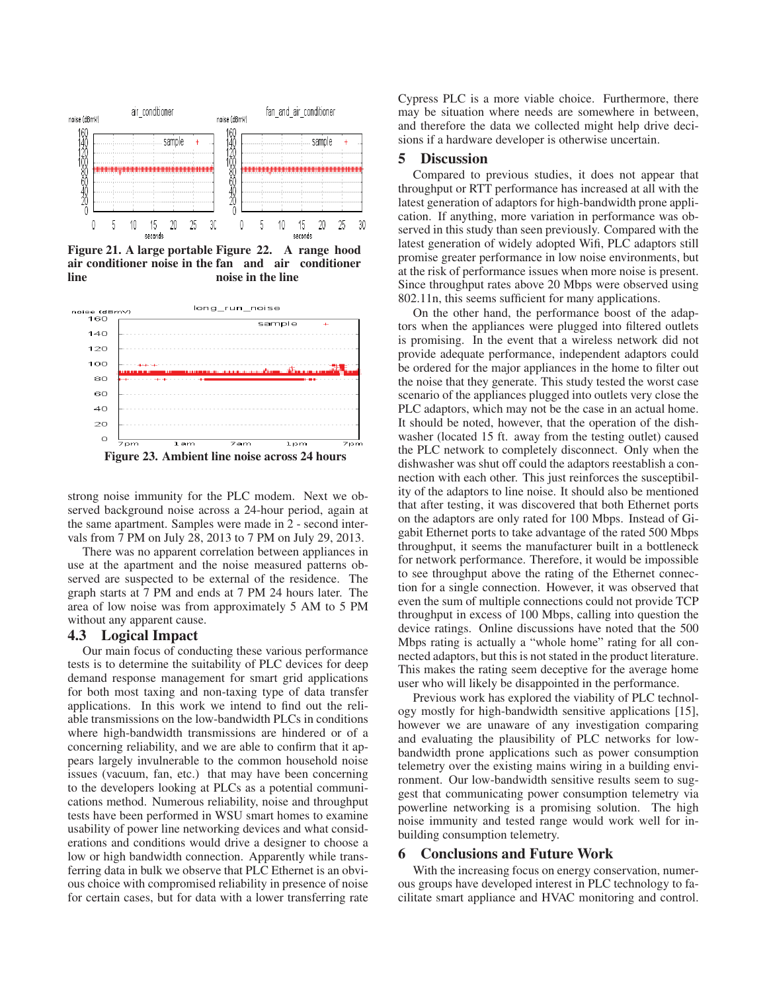

Figure 21. A large portable air conditioner noise in the fan and air conditioner line A range hood noise in the line



strong noise immunity for the PLC modem. Next we observed background noise across a 24-hour period, again at the same apartment. Samples were made in 2 - second intervals from 7 PM on July 28, 2013 to 7 PM on July 29, 2013.

There was no apparent correlation between appliances in use at the apartment and the noise measured patterns observed are suspected to be external of the residence. The graph starts at 7 PM and ends at 7 PM 24 hours later. The area of low noise was from approximately 5 AM to 5 PM without any apparent cause.

#### 4.3 Logical Impact

Our main focus of conducting these various performance tests is to determine the suitability of PLC devices for deep demand response management for smart grid applications for both most taxing and non-taxing type of data transfer applications. In this work we intend to find out the reliable transmissions on the low-bandwidth PLCs in conditions where high-bandwidth transmissions are hindered or of a concerning reliability, and we are able to confirm that it appears largely invulnerable to the common household noise issues (vacuum, fan, etc.) that may have been concerning to the developers looking at PLCs as a potential communications method. Numerous reliability, noise and throughput tests have been performed in WSU smart homes to examine usability of power line networking devices and what considerations and conditions would drive a designer to choose a low or high bandwidth connection. Apparently while transferring data in bulk we observe that PLC Ethernet is an obvious choice with compromised reliability in presence of noise for certain cases, but for data with a lower transferring rate

Cypress PLC is a more viable choice. Furthermore, there may be situation where needs are somewhere in between, and therefore the data we collected might help drive decisions if a hardware developer is otherwise uncertain.

# 5 Discussion

Compared to previous studies, it does not appear that throughput or RTT performance has increased at all with the latest generation of adaptors for high-bandwidth prone application. If anything, more variation in performance was observed in this study than seen previously. Compared with the latest generation of widely adopted Wifi, PLC adaptors still promise greater performance in low noise environments, but at the risk of performance issues when more noise is present. Since throughput rates above 20 Mbps were observed using 802.11n, this seems sufficient for many applications.

On the other hand, the performance boost of the adaptors when the appliances were plugged into filtered outlets is promising. In the event that a wireless network did not provide adequate performance, independent adaptors could be ordered for the major appliances in the home to filter out the noise that they generate. This study tested the worst case scenario of the appliances plugged into outlets very close the PLC adaptors, which may not be the case in an actual home. It should be noted, however, that the operation of the dishwasher (located 15 ft. away from the testing outlet) caused the PLC network to completely disconnect. Only when the dishwasher was shut off could the adaptors reestablish a connection with each other. This just reinforces the susceptibility of the adaptors to line noise. It should also be mentioned that after testing, it was discovered that both Ethernet ports on the adaptors are only rated for 100 Mbps. Instead of Gigabit Ethernet ports to take advantage of the rated 500 Mbps throughput, it seems the manufacturer built in a bottleneck for network performance. Therefore, it would be impossible to see throughput above the rating of the Ethernet connection for a single connection. However, it was observed that even the sum of multiple connections could not provide TCP throughput in excess of 100 Mbps, calling into question the device ratings. Online discussions have noted that the 500 Mbps rating is actually a "whole home" rating for all connected adaptors, but this is not stated in the product literature. This makes the rating seem deceptive for the average home user who will likely be disappointed in the performance.

Previous work has explored the viability of PLC technology mostly for high-bandwidth sensitive applications [15], however we are unaware of any investigation comparing and evaluating the plausibility of PLC networks for lowbandwidth prone applications such as power consumption telemetry over the existing mains wiring in a building environment. Our low-bandwidth sensitive results seem to suggest that communicating power consumption telemetry via powerline networking is a promising solution. The high noise immunity and tested range would work well for inbuilding consumption telemetry.

## 6 Conclusions and Future Work

With the increasing focus on energy conservation, numerous groups have developed interest in PLC technology to facilitate smart appliance and HVAC monitoring and control.